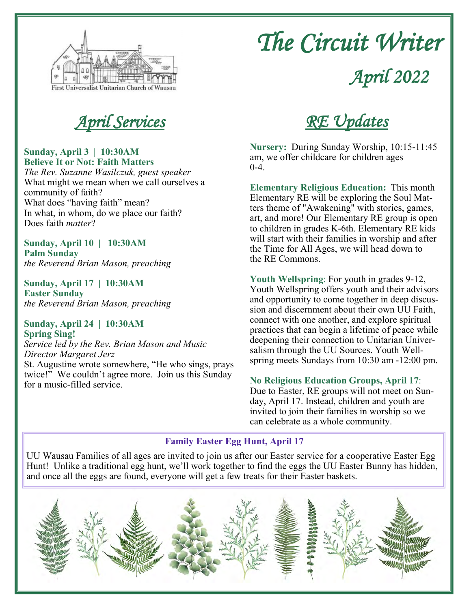

# *The Circuit Writer*

*April 2022*

#### **Sunday, April 3 | 10:30AM Believe It or Not: Faith Matters**

*The Rev. Suzanne Wasilczuk, guest speaker* What might we mean when we call ourselves a community of faith? What does "having faith" mean? In what, in whom, do we place our faith? Does faith *matter*?

**Sunday, April 10 | 10:30AM Palm Sunday** *the Reverend Brian Mason, preaching*

**Sunday, April 17 | 10:30AM Easter Sunday** *the Reverend Brian Mason, preaching*

#### **Sunday, April 24 | 10:30AM Spring Sing!**

*Service led by the Rev. Brian Mason and Music Director Margaret Jerz*

St. Augustine wrote somewhere, "He who sings, prays twice!" We couldn't agree more. Join us this Sunday for a music-filled service.



**Nursery:** During Sunday Worship, 10:15-11:45 am, we offer childcare for children ages  $0 - 4$ .

**Elementary Religious Education:** This month Elementary RE will be exploring the Soul Matters theme of "Awakening" with stories, games, art, and more! Our Elementary RE group is open to children in grades K-6th. Elementary RE kids will start with their families in worship and after the Time for All Ages, we will head down to the RE Commons.

**Youth Wellspring**: For youth in grades 9-12, Youth Wellspring offers youth and their advisors and opportunity to come together in deep discussion and discernment about their own UU Faith, connect with one another, and explore spiritual practices that can begin a lifetime of peace while deepening their connection to Unitarian Universalism through the UU Sources. Youth Wellspring meets Sundays from 10:30 am -12:00 pm.

### **No Religious Education Groups, April 17**:

Due to Easter, RE groups will not meet on Sunday, April 17. Instead, children and youth are invited to join their families in worship so we can celebrate as a whole community.

### **Family Easter Egg Hunt, April 17**

UU Wausau Families of all ages are invited to join us after our Easter service for a cooperative Easter Egg Hunt! Unlike a traditional egg hunt, we'll work together to find the eggs the UU Easter Bunny has hidden, and once all the eggs are found, everyone will get a few treats for their Easter baskets.

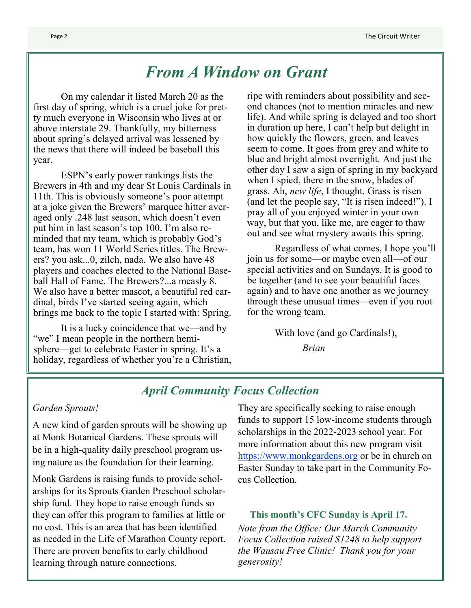# *From A Window on Grant*

On my calendar it listed March 20 as the first day of spring, which is a cruel joke for pretty much everyone in Wisconsin who lives at or above interstate 29. Thankfully, my bitterness about spring's delayed arrival was lessened by the news that there will indeed be baseball this year.

ESPN's early power rankings lists the Brewers in 4th and my dear St Louis Cardinals in 11th. This is obviously someone's poor attempt at a joke given the Brewers' marquee hitter averaged only .248 last season, which doesn't even put him in last season's top 100. I'm also reminded that my team, which is probably God's team, has won 11 World Series titles. The Brewers? you ask...0, zilch, nada. We also have 48 players and coaches elected to the National Baseball Hall of Fame. The Brewers?...a measly 8. We also have a better mascot, a beautiful red cardinal, birds I've started seeing again, which brings me back to the topic I started with: Spring.

It is a lucky coincidence that we—and by "we" I mean people in the northern hemisphere—get to celebrate Easter in spring. It's a holiday, regardless of whether you're a Christian,

ripe with reminders about possibility and second chances (not to mention miracles and new life). And while spring is delayed and too short in duration up here, I can't help but delight in how quickly the flowers, green, and leaves seem to come. It goes from grey and white to blue and bright almost overnight. And just the other day I saw a sign of spring in my backyard when I spied, there in the snow, blades of grass. Ah, *new life*, I thought. Grass is risen (and let the people say, "It is risen indeed!"). I pray all of you enjoyed winter in your own way, but that you, like me, are eager to thaw out and see what mystery awaits this spring.

Regardless of what comes, I hope you'll join us for some—or maybe even all—of our special activities and on Sundays. It is good to be together (and to see your beautiful faces again) and to have one another as we journey through these unusual times—even if you root for the wrong team.

With love (and go Cardinals!),

*Brian*

### *April Community Focus Collection*

#### *Garden Sprouts!*

A new kind of garden sprouts will be showing up at Monk Botanical Gardens. These sprouts will be in a high-quality daily preschool program using nature as the foundation for their learning.

Monk Gardens is raising funds to provide scholarships for its Sprouts Garden Preschool scholarship fund. They hope to raise enough funds so they can offer this program to families at little or no cost. This is an area that has been identified as needed in the Life of Marathon County report. There are proven benefits to early childhood learning through nature connections.

They are specifically seeking to raise enough funds to support 15 low-income students through scholarships in the 2022-2023 school year. For more information about this new program visit <https://www.monkgardens.org> or be in church on Easter Sunday to take part in the Community Focus Collection.

**This month's CFC Sunday is April 17.** 

*Note from the Office: Our March Community Focus Collection raised \$1248 to help support the Wausau Free Clinic! Thank you for your generosity!*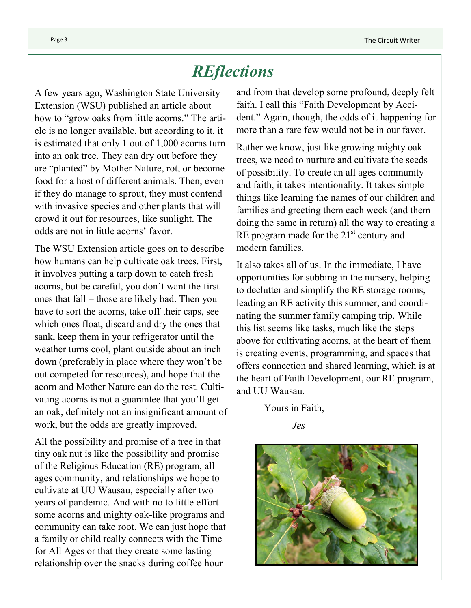# *REflections*

A few years ago, Washington State University Extension (WSU) published an article about how to "grow oaks from little acorns." The article is no longer available, but according to it, it is estimated that only 1 out of 1,000 acorns turn into an oak tree. They can dry out before they are "planted" by Mother Nature, rot, or become food for a host of different animals. Then, even if they do manage to sprout, they must contend with invasive species and other plants that will crowd it out for resources, like sunlight. The odds are not in little acorns' favor.

The WSU Extension article goes on to describe how humans can help cultivate oak trees. First, it involves putting a tarp down to catch fresh acorns, but be careful, you don't want the first ones that fall – those are likely bad. Then you have to sort the acorns, take off their caps, see which ones float, discard and dry the ones that sank, keep them in your refrigerator until the weather turns cool, plant outside about an inch down (preferably in place where they won't be out competed for resources), and hope that the acorn and Mother Nature can do the rest. Cultivating acorns is not a guarantee that you'll get an oak, definitely not an insignificant amount of work, but the odds are greatly improved.

All the possibility and promise of a tree in that tiny oak nut is like the possibility and promise of the Religious Education (RE) program, all ages community, and relationships we hope to cultivate at UU Wausau, especially after two years of pandemic. And with no to little effort some acorns and mighty oak-like programs and community can take root. We can just hope that a family or child really connects with the Time for All Ages or that they create some lasting relationship over the snacks during coffee hour

and from that develop some profound, deeply felt faith. I call this "Faith Development by Accident." Again, though, the odds of it happening for more than a rare few would not be in our favor.

Rather we know, just like growing mighty oak trees, we need to nurture and cultivate the seeds of possibility. To create an all ages community and faith, it takes intentionality. It takes simple things like learning the names of our children and families and greeting them each week (and them doing the same in return) all the way to creating a RE program made for the  $21<sup>st</sup>$  century and modern families.

It also takes all of us. In the immediate, I have opportunities for subbing in the nursery, helping to declutter and simplify the RE storage rooms, leading an RE activity this summer, and coordinating the summer family camping trip. While this list seems like tasks, much like the steps above for cultivating acorns, at the heart of them is creating events, programming, and spaces that offers connection and shared learning, which is at the heart of Faith Development, our RE program, and UU Wausau.

Yours in Faith,

*Jes*

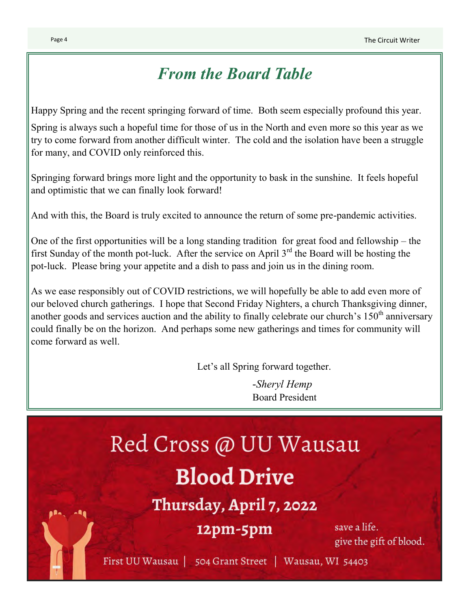# *From the Board Table*

Happy Spring and the recent springing forward of time. Both seem especially profound this year.

Spring is always such a hopeful time for those of us in the North and even more so this year as we try to come forward from another difficult winter. The cold and the isolation have been a struggle for many, and COVID only reinforced this.

Springing forward brings more light and the opportunity to bask in the sunshine. It feels hopeful and optimistic that we can finally look forward!

And with this, the Board is truly excited to announce the return of some pre-pandemic activities.

One of the first opportunities will be a long standing tradition for great food and fellowship – the first Sunday of the month pot-luck. After the service on April  $3<sup>rd</sup>$  the Board will be hosting the pot-luck. Please bring your appetite and a dish to pass and join us in the dining room.

As we ease responsibly out of COVID restrictions, we will hopefully be able to add even more of our beloved church gatherings. I hope that Second Friday Nighters, a church Thanksgiving dinner, another goods and services auction and the ability to finally celebrate our church's  $150<sup>th</sup>$  anniversary could finally be on the horizon. And perhaps some new gatherings and times for community will come forward as well.

Let's all Spring forward together.

*-Sheryl Hemp* Board President

# Red Cross @ UU Wausau **Blood Drive**

Thursday, April 7, 2022

# $12pm-5pm$

save a life. give the gift of blood.

First UU Wausau | 504 Grant Street | Wausau, WI 54403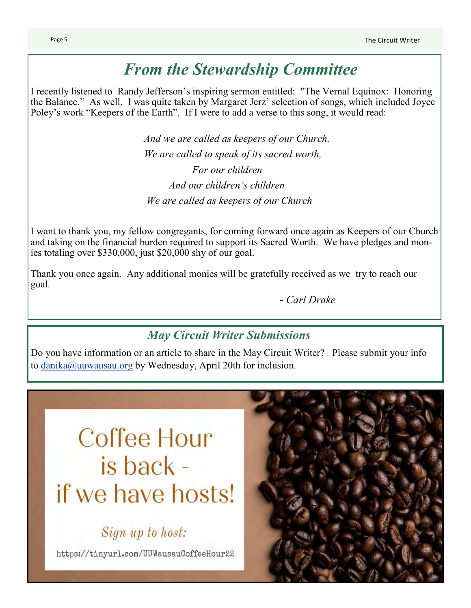# *From the Stewardship Committee*

I recently listened to Randy Jefferson's inspiring sermon entitled: "The Vernal Equinox: Honoring the Balance." As well, I was quite taken by Margaret Jerz' selection of songs, which included Joyce Poley's work "Keepers of the Earth". If I were to add a verse to this song, it would read:

> *And we are called as keepers of our Church, We are called to speak of its sacred worth, For our children And our children's children We are called as keepers of our Church*

I want to thank you, my fellow congregants, for coming forward once again as Keepers of our Church and taking on the financial burden required to support its Sacred Worth. We have pledges and monies totaling over \$330,000, just \$20,000 shy of our goal.

Thank you once again. Any additional monies will be gratefully received as we try to reach our goal.

*- Carl Drake*

## *May Circuit Writer Submissions*

Do you have information or an article to share in the May Circuit Writer? Please submit your info to [danika@uuwausau.org](mailto:danika@uuwausau.org?subject=May%20Circuit%20Writer) by Wednesday, April 20th for inclusion.

# Coffee Hour is back if we have hosts!

Sign up to host:

https://tinyurl.com/UUWausauCoffeeHour22

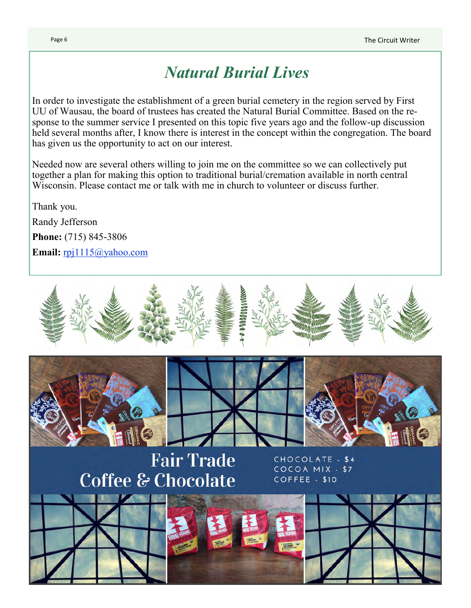# *Natural Burial Lives*

In order to investigate the establishment of a green burial cemetery in the region served by First UU of Wausau, the board of trustees has created the Natural Burial Committee. Based on the response to the summer service I presented on this topic five years ago and the follow-up discussion held several months after, I know there is interest in the concept within the congregation. The board has given us the opportunity to act on our interest.

Needed now are several others willing to join me on the committee so we can collectively put together a plan for making this option to traditional burial/cremation available in north central Wisconsin. Please contact me or talk with me in church to volunteer or discuss further.

Thank you. Randy Jefferson **Phone:** (715) 845-3806 **Email:** [rpj1115@yahoo.com](mailto:rpj1115@yahoo.com)

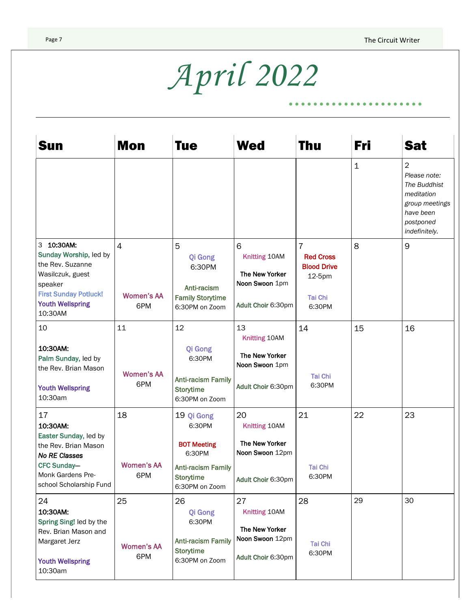$\bullet$ 

 $\bullet$   $\bullet$   $\bullet$ 

# *April 2022*

| Sun                                                                                                                                                           | Mon                                        | <b>Tue</b>                                                                                      | <b>Wed</b>                                                                   | <b>Thu</b>                                                                                     | Fri         | Sat                                                                                                                       |
|---------------------------------------------------------------------------------------------------------------------------------------------------------------|--------------------------------------------|-------------------------------------------------------------------------------------------------|------------------------------------------------------------------------------|------------------------------------------------------------------------------------------------|-------------|---------------------------------------------------------------------------------------------------------------------------|
|                                                                                                                                                               |                                            |                                                                                                 |                                                                              |                                                                                                | $\mathbf 1$ | $\overline{2}$<br>Please note:<br>The Buddhist<br>meditation<br>group meetings<br>have been<br>postponed<br>indefinitely. |
| 3 10:30AM:<br>Sunday Worship, led by<br>the Rev. Suzanne<br>Wasilczuk, guest<br>speaker<br><b>First Sunday Potluck!</b><br><b>Youth Wellspring</b><br>10:30AM | $\overline{4}$<br><b>Women's AA</b><br>6PM | 5<br>Qi Gong<br>6:30PM<br>Anti-racism<br><b>Family Storytime</b><br>6:30PM on Zoom              | 6<br>Knitting 10AM<br>The New Yorker<br>Noon Swoon 1pm<br>Adult Choir 6:30pm | $\overline{7}$<br><b>Red Cross</b><br><b>Blood Drive</b><br>12-5pm<br><b>Tai Chi</b><br>6:30PM | 8           | 9                                                                                                                         |
| 10                                                                                                                                                            | 11                                         | 12                                                                                              | 13<br>Knitting 10AM                                                          | 14                                                                                             | 15          | 16                                                                                                                        |
| 10:30AM:<br>Palm Sunday, led by<br>the Rev. Brian Mason<br><b>Youth Wellspring</b><br>10:30am                                                                 | <b>Women's AA</b><br>6PM                   | Qi Gong<br>6:30PM<br><b>Anti-racism Family</b><br><b>Storytime</b><br>6:30PM on Zoom            | The New Yorker<br>Noon Swoon 1pm<br>Adult Choir 6:30pm                       | <b>Tai Chi</b><br>6:30PM                                                                       |             |                                                                                                                           |
| 17<br>10:30AM:                                                                                                                                                | 18                                         | 19 Qi Gong<br>6:30PM                                                                            | 20<br>Knitting 10AM                                                          | 21                                                                                             | 22          | 23                                                                                                                        |
| Easter Sunday, led by<br>the Rev. Brian Mason<br><b>No RE Classes</b><br><b>CFC Sunday-</b><br>Monk Gardens Pre-<br>school Scholarship Fund                   | <b>Women's AA</b><br>6PM                   | <b>BOT Meeting</b><br>6:30PM<br><b>Anti-racism Family</b><br><b>Storytime</b><br>6:30PM on Zoom | The New Yorker<br>Noon Swoon 12pm<br>Adult Choir 6:30pm                      | <b>Tai Chi</b><br>6:30PM                                                                       |             |                                                                                                                           |
| 24                                                                                                                                                            | 25                                         | 26                                                                                              | 27                                                                           | 28                                                                                             | 29          | 30                                                                                                                        |
| 10:30AM:<br>Spring Sing! led by the<br>Rev. Brian Mason and<br>Margaret Jerz<br><b>Youth Wellspring</b><br>10:30am                                            | <b>Women's AA</b><br>6PM                   | Qi Gong<br>6:30PM<br><b>Anti-racism Family</b><br><b>Storytime</b><br>6:30PM on Zoom            | Knitting 10AM<br>The New Yorker<br>Noon Swoon 12pm<br>Adult Choir 6:30pm     | Tai Chi<br>6:30PM                                                                              |             |                                                                                                                           |